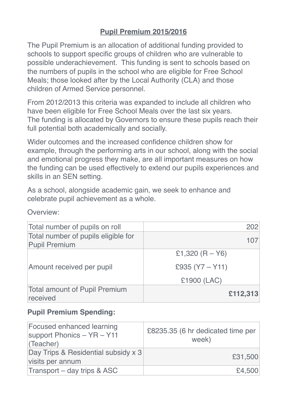# **Pupil Premium 2015/2016**

The Pupil Premium is an allocation of additional funding provided to schools to support specific groups of children who are vulnerable to possible underachievement. This funding is sent to schools based on the numbers of pupils in the school who are eligible for Free School Meals; those looked after by the Local Authority (CLA) and those children of Armed Service personnel.

From 2012/2013 this criteria was expanded to include all children who have been eligible for Free School Meals over the last six years. The funding is allocated by Governors to ensure these pupils reach their full potential both academically and socially.

Wider outcomes and the increased confidence children show for example, through the performing arts in our school, along with the social and emotional progress they make, are all important measures on how the funding can be used effectively to extend our pupils experiences and skills in an SEN setting.

As a school, alongside academic gain, we seek to enhance and celebrate pupil achievement as a whole.

| Overview: |  |  |  |
|-----------|--|--|--|
|           |  |  |  |
|           |  |  |  |
|           |  |  |  |

| Total number of pupils on roll                              | 202               |
|-------------------------------------------------------------|-------------------|
| Total number of pupils eligible for<br><b>Pupil Premium</b> | 107               |
|                                                             | £1,320 $(R - Y6)$ |
| Amount received per pupil                                   | £935 $(Y7 - Y11)$ |
|                                                             | £1900 (LAC)       |
| <b>Total amount of Pupil Premium</b><br>received            | £112,313          |

#### **Pupil Premium Spending:**

| <b>Focused enhanced learning</b><br>support Phonics - YR - Y11<br>(Teacher) | £8235.35 (6 hr dedicated time per<br>week) |
|-----------------------------------------------------------------------------|--------------------------------------------|
| Day Trips & Residential subsidy x 3<br>visits per annum                     | £31,500                                    |
| Transport – day trips & ASC                                                 | £4,500                                     |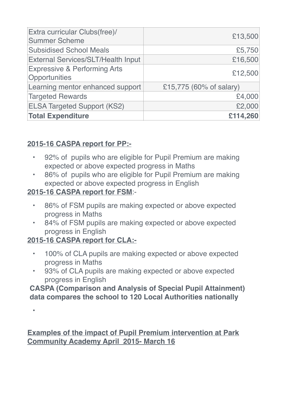| Extra curricular Clubs(free)/<br><b>Summer Scheme</b>    | £13,500                 |
|----------------------------------------------------------|-------------------------|
| <b>Subsidised School Meals</b>                           | £5,750                  |
| <b>External Services/SLT/Health Input</b>                | £16,500                 |
| <b>Expressive &amp; Performing Arts</b><br>Opportunities | £12,500                 |
| Learning mentor enhanced support                         | £15,775 (60% of salary) |
| <b>Targeted Rewards</b>                                  | £4,000                  |
| <b>ELSA Targeted Support (KS2)</b>                       | £2,000                  |
| <b>Total Expenditure</b>                                 | £114,260                |

### **2015-16 CASPA report for PP:-**

- 92% of pupils who are eligible for Pupil Premium are making expected or above expected progress in Maths
- 86% of pupils who are eligible for Pupil Premium are making expected or above expected progress in English

## **2015-16 CASPA report for FSM**:-

- 86% of FSM pupils are making expected or above expected progress in Maths
- 84% of FSM pupils are making expected or above expected progress in English

## **2015-16 CASPA report for CLA:-**

•

- 100% of CLA pupils are making expected or above expected progress in Maths
- 93% of CLA pupils are making expected or above expected progress in English

#### **CASPA (Comparison and Analysis of Special Pupil Attainment) data compares the school to 120 Local Authorities nationally**

**Examples of the impact of Pupil Premium intervention at Park Community Academy April 2015- March 16**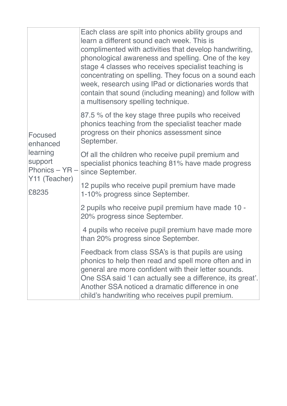|                        | Each class are spilt into phonics ability groups and<br>learn a different sound each week. This is<br>complimented with activities that develop handwriting,<br>phonological awareness and spelling. One of the key<br>stage 4 classes who receives specialist teaching is<br>concentrating on spelling. They focus on a sound each<br>week, research using IPad or dictionaries words that<br>contain that sound (including meaning) and follow with<br>a multisensory spelling technique. |
|------------------------|---------------------------------------------------------------------------------------------------------------------------------------------------------------------------------------------------------------------------------------------------------------------------------------------------------------------------------------------------------------------------------------------------------------------------------------------------------------------------------------------|
| Focused<br>enhanced    | 87.5 % of the key stage three pupils who received<br>phonics teaching from the specialist teacher made<br>progress on their phonics assessment since<br>September.                                                                                                                                                                                                                                                                                                                          |
| learning<br>support    | Of all the children who receive pupil premium and<br>specialist phonics teaching 81% have made progress<br>Phonics – $YR -  $ since September.                                                                                                                                                                                                                                                                                                                                              |
| Y11 (Teacher)<br>£8235 | 12 pupils who receive pupil premium have made<br>1-10% progress since September.                                                                                                                                                                                                                                                                                                                                                                                                            |
|                        | 2 pupils who receive pupil premium have made 10 -<br>20% progress since September.                                                                                                                                                                                                                                                                                                                                                                                                          |
|                        | 4 pupils who receive pupil premium have made more<br>than 20% progress since September.                                                                                                                                                                                                                                                                                                                                                                                                     |
|                        | Feedback from class SSA's is that pupils are using<br>phonics to help then read and spell more often and in<br>general are more confident with their letter sounds.<br>One SSA said 'I can actually see a difference, its great'.<br>Another SSA noticed a dramatic difference in one<br>child's handwriting who receives pupil premium.                                                                                                                                                    |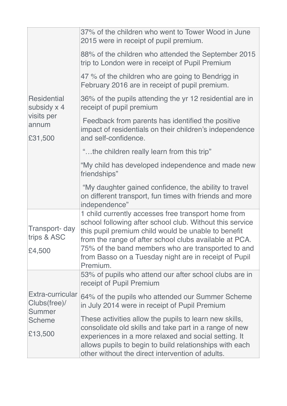|                                           | 37% of the children who went to Tower Wood in June                                                                                                                                                                                                                                                                                                          |
|-------------------------------------------|-------------------------------------------------------------------------------------------------------------------------------------------------------------------------------------------------------------------------------------------------------------------------------------------------------------------------------------------------------------|
|                                           | 2015 were in receipt of pupil premium.                                                                                                                                                                                                                                                                                                                      |
|                                           | 88% of the children who attended the September 2015<br>trip to London were in receipt of Pupil Premium                                                                                                                                                                                                                                                      |
|                                           | 47 % of the children who are going to Bendrigg in<br>February 2016 are in receipt of pupil premium.                                                                                                                                                                                                                                                         |
| <b>Residential</b><br>subsidy x 4         | 36% of the pupils attending the yr 12 residential are in<br>receipt of pupil premium                                                                                                                                                                                                                                                                        |
| visits per<br>annum<br>£31,500            | Feedback from parents has identified the positive<br>impact of residentials on their children's independence<br>and self-confidence.                                                                                                                                                                                                                        |
|                                           | "the children really learn from this trip"                                                                                                                                                                                                                                                                                                                  |
|                                           | "My child has developed independence and made new<br>friendships"                                                                                                                                                                                                                                                                                           |
|                                           | "My daughter gained confidence, the ability to travel<br>on different transport, fun times with friends and more<br>independence"                                                                                                                                                                                                                           |
| Transport- day<br>trips & ASC<br>£4,500   | 1 child currently accesses free transport home from<br>school following after school club. Without this service<br>this pupil premium child would be unable to benefit<br>from the range of after school clubs available at PCA.<br>75% of the band members who are transported to and<br>from Basso on a Tuesday night are in receipt of Pupil<br>Premium. |
|                                           | 53% of pupils who attend our after school clubs are in<br>receipt of Pupil Premium                                                                                                                                                                                                                                                                          |
| Extra-curricular<br>Clubs(free)/          | 64% of the pupils who attended our Summer Scheme<br>in July 2014 were in receipt of Pupil Premium                                                                                                                                                                                                                                                           |
| <b>Summer</b><br><b>Scheme</b><br>£13,500 | These activities allow the pupils to learn new skills,<br>consolidate old skills and take part in a range of new<br>experiences in a more relaxed and social setting. It<br>allows pupils to begin to build relationships with each<br>other without the direct intervention of adults.                                                                     |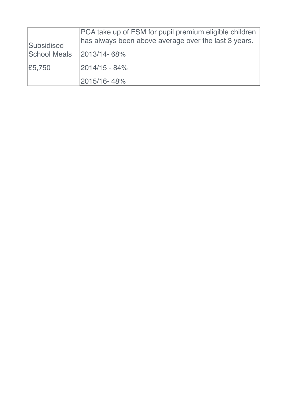| Subsidised          | PCA take up of FSM for pupil premium eligible children<br>has always been above average over the last 3 years. |
|---------------------|----------------------------------------------------------------------------------------------------------------|
| <b>School Meals</b> | 2013/14-68%                                                                                                    |
| £5,750              | $2014/15 - 84%$                                                                                                |
|                     | 2015/16-48%                                                                                                    |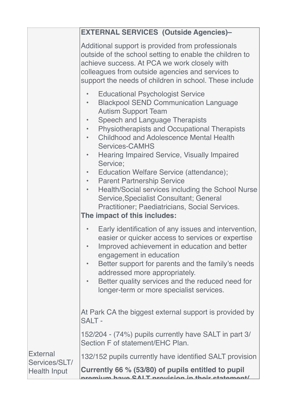|                                  | <b>EXTERNAL SERVICES (Outside Agencies)-</b>                                                                                                                                                                                                                                                                                                                                                                                                                                                                                                                                                                                                                                                 |  |  |
|----------------------------------|----------------------------------------------------------------------------------------------------------------------------------------------------------------------------------------------------------------------------------------------------------------------------------------------------------------------------------------------------------------------------------------------------------------------------------------------------------------------------------------------------------------------------------------------------------------------------------------------------------------------------------------------------------------------------------------------|--|--|
|                                  | Additional support is provided from professionals<br>outside of the school setting to enable the children to<br>achieve success. At PCA we work closely with<br>colleagues from outside agencies and services to<br>support the needs of children in school. These include                                                                                                                                                                                                                                                                                                                                                                                                                   |  |  |
|                                  | <b>Educational Psychologist Service</b><br><b>Blackpool SEND Communication Language</b><br><b>Autism Support Team</b><br><b>Speech and Language Therapists</b><br><b>Physiotherapists and Occupational Therapists</b><br><b>Childhood and Adolescence Mental Health</b><br><b>Services-CAMHS</b><br><b>Hearing Impaired Service, Visually Impaired</b><br>$\bullet$<br>Service;<br>Education Welfare Service (attendance);<br>$\bullet$ .<br><b>Parent Partnership Service</b><br>$\bullet$ .<br>Health/Social services including the School Nurse<br>$\bullet$<br>Service, Specialist Consultant; General<br>Practitioner; Paediatricians, Social Services.<br>The impact of this includes: |  |  |
|                                  | Early identification of any issues and intervention,<br>$\bullet$<br>easier or quicker access to services or expertise<br>Improved achievement in education and better<br>engagement in education<br>Better support for parents and the family's needs<br>addressed more appropriately.<br>Better quality services and the reduced need for<br>longer-term or more specialist services.                                                                                                                                                                                                                                                                                                      |  |  |
|                                  | At Park CA the biggest external support is provided by<br><b>SALT-</b>                                                                                                                                                                                                                                                                                                                                                                                                                                                                                                                                                                                                                       |  |  |
|                                  | 152/204 - (74%) pupils currently have SALT in part 3/<br>Section F of statement/EHC Plan.                                                                                                                                                                                                                                                                                                                                                                                                                                                                                                                                                                                                    |  |  |
| <b>External</b><br>Services/SLT/ | 132/152 pupils currently have identified SALT provision                                                                                                                                                                                                                                                                                                                                                                                                                                                                                                                                                                                                                                      |  |  |
| <b>Health Input</b>              | Currently 66 % (53/80) of pupils entitled to pupil<br><u>nramium hava CAIT nraviaian in thair atatamant/</u>                                                                                                                                                                                                                                                                                                                                                                                                                                                                                                                                                                                 |  |  |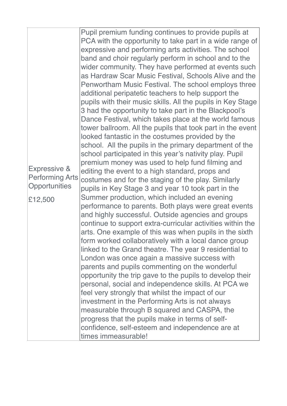| Expressive &<br><b>Performing Arts</b><br>Opportunities<br>£12,500 | Pupil premium funding continues to provide pupils at<br>PCA with the opportunity to take part in a wide range of<br>expressive and performing arts activities. The school<br>band and choir regularly perform in school and to the<br>wider community. They have performed at events such<br>as Hardraw Scar Music Festival, Schools Alive and the<br>Penwortham Music Festival. The school employs three<br>additional peripatetic teachers to help support the<br>pupils with their music skills. All the pupils in Key Stage<br>3 had the opportunity to take part in the Blackpool's<br>Dance Festival, which takes place at the world famous<br>tower ballroom. All the pupils that took part in the event<br>looked fantastic in the costumes provided by the<br>school. All the pupils in the primary department of the<br>school participated in this year's nativity play. Pupil<br>premium money was used to help fund filming and<br>editing the event to a high standard, props and<br>costumes and for the staging of the play. Similarly<br>pupils in Key Stage 3 and year 10 took part in the<br>Summer production, which included an evening<br>performance to parents. Both plays were great events<br>and highly successful. Outside agencies and groups<br>continue to support extra-curricular activities within the<br>arts. One example of this was when pupils in the sixth<br>form worked collaboratively with a local dance group<br>linked to the Grand theatre. The year 9 residential to<br>London was once again a massive success with<br>parents and pupils commenting on the wonderful<br>opportunity the trip gave to the pupils to develop their<br>personal, social and independence skills. At PCA we<br>feel very strongly that whilst the impact of our<br>investment in the Performing Arts is not always<br>measurable through B squared and CASPA, the<br>progress that the pupils make in terms of self-<br>confidence, self-esteem and independence are at<br>times immeasurable! |
|--------------------------------------------------------------------|------------------------------------------------------------------------------------------------------------------------------------------------------------------------------------------------------------------------------------------------------------------------------------------------------------------------------------------------------------------------------------------------------------------------------------------------------------------------------------------------------------------------------------------------------------------------------------------------------------------------------------------------------------------------------------------------------------------------------------------------------------------------------------------------------------------------------------------------------------------------------------------------------------------------------------------------------------------------------------------------------------------------------------------------------------------------------------------------------------------------------------------------------------------------------------------------------------------------------------------------------------------------------------------------------------------------------------------------------------------------------------------------------------------------------------------------------------------------------------------------------------------------------------------------------------------------------------------------------------------------------------------------------------------------------------------------------------------------------------------------------------------------------------------------------------------------------------------------------------------------------------------------------------------------------------------------------------------------------------------------------------------------------|
|--------------------------------------------------------------------|------------------------------------------------------------------------------------------------------------------------------------------------------------------------------------------------------------------------------------------------------------------------------------------------------------------------------------------------------------------------------------------------------------------------------------------------------------------------------------------------------------------------------------------------------------------------------------------------------------------------------------------------------------------------------------------------------------------------------------------------------------------------------------------------------------------------------------------------------------------------------------------------------------------------------------------------------------------------------------------------------------------------------------------------------------------------------------------------------------------------------------------------------------------------------------------------------------------------------------------------------------------------------------------------------------------------------------------------------------------------------------------------------------------------------------------------------------------------------------------------------------------------------------------------------------------------------------------------------------------------------------------------------------------------------------------------------------------------------------------------------------------------------------------------------------------------------------------------------------------------------------------------------------------------------------------------------------------------------------------------------------------------------|